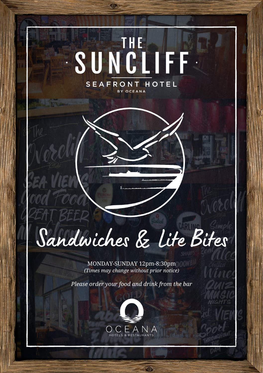